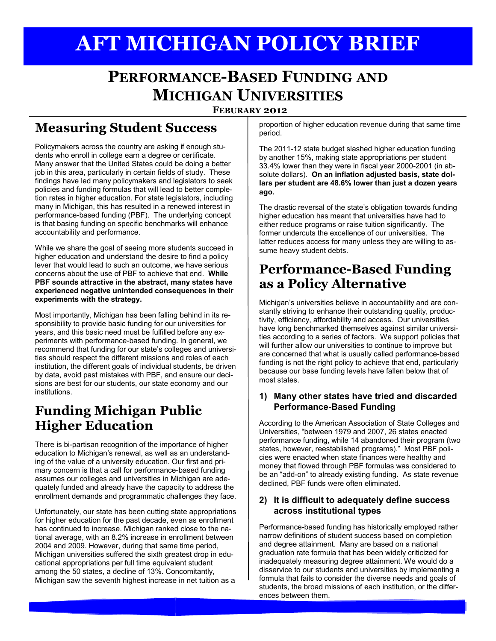# **AFT MICHIGAN POLICY BRIEF**

## **PERFORMANCE-BASED FUNDING AND MICHIGAN UNIVERSITIES**

**FEBURARY 2012**

### **Measuring Student Success**

Policymakers across the country are asking if enough students who enroll in college earn a degree or certificate. Many answer that the United States could be doing a better job in this area, particularly in certain fields of study. These findings have led many policymakers and legislators to seek policies and funding formulas that will lead to better completion rates in higher education. For state legislators, including many in Michigan, this has resulted in a renewed interest in performance-based funding (PBF). The underlying concept is that basing funding on specific benchmarks will enhance accountability and performance.

While we share the goal of seeing more students succeed in higher education and understand the desire to find a policy lever that would lead to such an outcome, we have serious concerns about the use of PBF to achieve that end. **While PBF sounds attractive in the abstract, many states have experienced negative unintended consequences in their experiments with the strategy.** 

Most importantly, Michigan has been falling behind in its responsibility to provide basic funding for our universities for years, and this basic need must be fulfilled before any experiments with performance-based funding. In general, we recommend that funding for our state's colleges and universities should respect the different missions and roles of each institution, the different goals of individual students, be driven by data, avoid past mistakes with PBF, and ensure our decisions are best for our students, our state economy and our institutions.

### **Funding Michigan Public Higher Education**

There is bi-partisan recognition of the importance of higher education to Michigan's renewal, as well as an understanding of the value of a university education. Our first and primary concern is that a call for performance-based funding assumes our colleges and universities in Michigan are adequately funded and already have the capacity to address the enrollment demands and programmatic challenges they face.

Unfortunately, our state has been cutting state appropriations for higher education for the past decade, even as enrollment has continued to increase. Michigan ranked close to the national average, with an 8.2% increase in enrollment between 2004 and 2009. However, during that same time period, Michigan universities suffered the sixth greatest drop in educational appropriations per full time equivalent student among the 50 states, a decline of 13%. Concomitantly, Michigan saw the seventh highest increase in net tuition as a

proportion of higher education revenue during that same time period.

The 2011-12 state budget slashed higher education funding by another 15%, making state appropriations per student 33.4% lower than they were in fiscal year 2000-2001 (in absolute dollars). **On an inflation adjusted basis, state dollars per student are 48.6% lower than just a dozen years ago.**

The drastic reversal of the state's obligation towards funding higher education has meant that universities have had to either reduce programs or raise tuition significantly. The former undercuts the excellence of our universities. The latter reduces access for many unless they are willing to assume heavy student debts.

#### **Performance-Based Funding as a Policy Alternative**

Michigan's universities believe in accountability and are constantly striving to enhance their outstanding quality, productivity, efficiency, affordability and access. Our universities have long benchmarked themselves against similar universities according to a series of factors. We support policies that will further allow our universities to continue to improve but are concerned that what is usually called performance-based funding is not the right policy to achieve that end, particularly because our base funding levels have fallen below that of most states.

#### **1) Many other states have tried and discarded Performance-Based Funding**

According to the American Association of State Colleges and Universities, "between 1979 and 2007, 26 states enacted performance funding, while 14 abandoned their program (two states, however, reestablished programs)." Most PBF policies were enacted when state finances were healthy and money that flowed through PBF formulas was considered to be an "add-on" to already existing funding. As state revenue declined, PBF funds were often eliminated.

#### **2) It is difficult to adequately define success across institutional types**

Performance-based funding has historically employed rather narrow definitions of student success based on completion and degree attainment. Many are based on a national graduation rate formula that has been widely criticized for inadequately measuring degree attainment. We would do a disservice to our students and universities by implementing a formula that fails to consider the diverse needs and goals of students, the broad missions of each institution, or the differences between them.